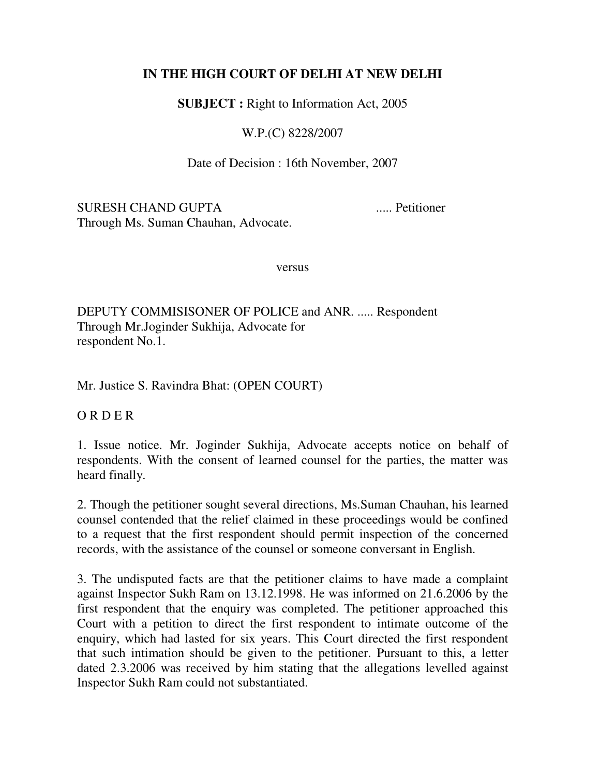## **IN THE HIGH COURT OF DELHI AT NEW DELHI**

**SUBJECT :** Right to Information Act, 2005

W.P.(C) 8228/2007

Date of Decision : 16th November, 2007

SURESH CHAND GUPTA ..... Petitioner Through Ms. Suman Chauhan, Advocate.

versus

DEPUTY COMMISISONER OF POLICE and ANR. ..... Respondent Through Mr.Joginder Sukhija, Advocate for respondent No.1.

Mr. Justice S. Ravindra Bhat: (OPEN COURT)

O R D E R

1. Issue notice. Mr. Joginder Sukhija, Advocate accepts notice on behalf of respondents. With the consent of learned counsel for the parties, the matter was heard finally.

2. Though the petitioner sought several directions, Ms.Suman Chauhan, his learned counsel contended that the relief claimed in these proceedings would be confined to a request that the first respondent should permit inspection of the concerned records, with the assistance of the counsel or someone conversant in English.

3. The undisputed facts are that the petitioner claims to have made a complaint against Inspector Sukh Ram on 13.12.1998. He was informed on 21.6.2006 by the first respondent that the enquiry was completed. The petitioner approached this Court with a petition to direct the first respondent to intimate outcome of the enquiry, which had lasted for six years. This Court directed the first respondent that such intimation should be given to the petitioner. Pursuant to this, a letter dated 2.3.2006 was received by him stating that the allegations levelled against Inspector Sukh Ram could not substantiated.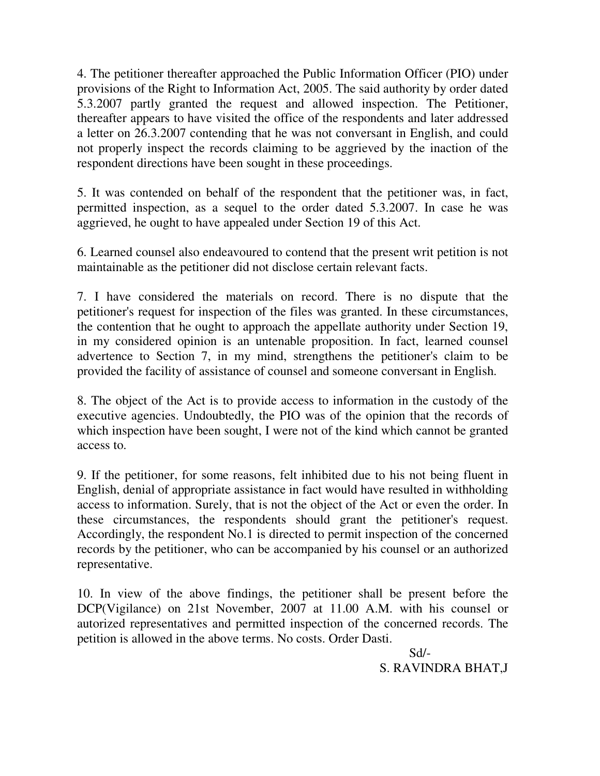4. The petitioner thereafter approached the Public Information Officer (PIO) under provisions of the Right to Information Act, 2005. The said authority by order dated 5.3.2007 partly granted the request and allowed inspection. The Petitioner, thereafter appears to have visited the office of the respondents and later addressed a letter on 26.3.2007 contending that he was not conversant in English, and could not properly inspect the records claiming to be aggrieved by the inaction of the respondent directions have been sought in these proceedings.

5. It was contended on behalf of the respondent that the petitioner was, in fact, permitted inspection, as a sequel to the order dated 5.3.2007. In case he was aggrieved, he ought to have appealed under Section 19 of this Act.

6. Learned counsel also endeavoured to contend that the present writ petition is not maintainable as the petitioner did not disclose certain relevant facts.

7. I have considered the materials on record. There is no dispute that the petitioner's request for inspection of the files was granted. In these circumstances, the contention that he ought to approach the appellate authority under Section 19, in my considered opinion is an untenable proposition. In fact, learned counsel advertence to Section 7, in my mind, strengthens the petitioner's claim to be provided the facility of assistance of counsel and someone conversant in English.

8. The object of the Act is to provide access to information in the custody of the executive agencies. Undoubtedly, the PIO was of the opinion that the records of which inspection have been sought, I were not of the kind which cannot be granted access to.

9. If the petitioner, for some reasons, felt inhibited due to his not being fluent in English, denial of appropriate assistance in fact would have resulted in withholding access to information. Surely, that is not the object of the Act or even the order. In these circumstances, the respondents should grant the petitioner's request. Accordingly, the respondent No.1 is directed to permit inspection of the concerned records by the petitioner, who can be accompanied by his counsel or an authorized representative.

10. In view of the above findings, the petitioner shall be present before the DCP(Vigilance) on 21st November, 2007 at 11.00 A.M. with his counsel or autorized representatives and permitted inspection of the concerned records. The petition is allowed in the above terms. No costs. Order Dasti.

 Sd/- S. RAVINDRA BHAT,J